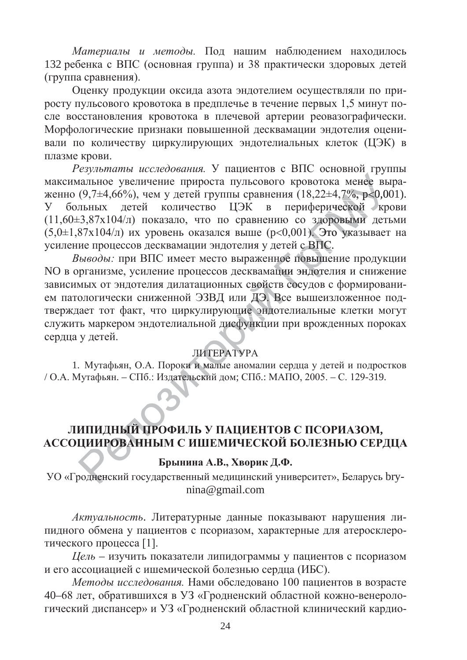Материалы и методы. Под нашим наблюдением находилось 132 ребенка с ВПС (основная группа) и 38 практически здоровых детей (группа сравнения).

Оценку продукции оксида азота эндотелием осуществляли по приросту пульсового кровотока в предплечье в течение первых 1,5 минут после восстановления кровотока в плечевой артерии реовазографически. Морфологические признаки повышенной десквамации эндотелия оценивали по количеству циркулирующих эндотелиальных клеток (ЦЭК) в плазме крови.

Результаты исследования. У пациентов с ВПС основной группы максимальное увеличение прироста пульсового кровотока менее выраженно (9,7 $\pm$ 4,66%), чем у детей группы сравнения (18,22 $\pm$ 4,7%, p<0,001).<br>У больных детей количество ЦЭК в периферической крови женно  $(9,7\pm4,66\%)$ , чем у детей группы сравнения  $(18,22\pm4,7\%$ , p<0,001). У больных детей количество ЦЭК в периферической крови  $(11,60\pm3,87x104/\pi)$  показало, что по сравнению со здоровыми детьми  $(5,0\pm1,87x104/\pi)$  их уровень оказался выше  $(p<0,001)$ . Это указывает на усиление процессов десквамации эндотелия у детей с ВПС. здоров<br>). Это<br>BПС. ). Это ука 22±4,7%, р<br>ерической<br>доровыми<br>Это указь **оровыми** 

Выводы: при ВПС имеет место выраженное повышение продукции NO в организме, усиление процессов десквамации эндотелия и снижение зависимых от эндотелия дилатационных свойств сосудов с формировани-<br>ем патологически сниженной ЭЗВД или ДЭ. Все вышеизложенное под-<br>тверждает тот факт, что циркулирующие эндотелиальные клетки могут ем патологически сниженной ЭЗВД или ДЭ. Все вышеизложенное подтверждает тот факт, что циркулирующие эндотелиальные клетки могут тверждает тот факт, что циркулирующие эндотелиальные клетки могут<br>служить маркером эндотелиальной дисфункции при врожденных пороках сердца у детей. ной дисфун<br>ИТЕРАТУРА<br>малые аном<br>кий дом; СП ное по<mark>в</mark><br>щии эн.<br>тв сосу. цетей с ВПС<br>ное повыше<br>ции эндоте<mark>л</mark>

## ЛИТЕРАТУРА

1. Мутафьян, О.А. Пороки и малые аномалии сердца у детей и подростков / О.А. Мутафьян. – СПб.: Издательский дом; СПб.: МАПО, 2005. – С. 129-319. - СПб.: Издательс<br>**ЫЙ ПРОФИЛЬ** литт<br>роки и ма<br>дательский и и мал

# ЈИПИДНЫЙ ПРОФИЛЬ У ПАЦИЕНТОВ С ПСОРИАЗОМ, АССОЦИИРОВАННЫМ С ИШЕМИЧЕСКОЙ БОЛЕЗНЬЮ СЕРДЦА<br>Брынина А.В., Хворик Л.Ф. ДН**ЫЙ П**<br>РОВАНН

### Брынина А.В., Хворик Д.Ф.

ПОВАННЫМ С ИНЕМИ БЕСКОЙ ВОЛЕЗНЬЮ СЕГДЦА<br>Брынина А.В., Хворик Д.Ф.<br>УО «Гродненский государственный медицинский университет», Беларусь brynina@gmail.com

Актуальность. Литературные данные показывают нарушения липидного обмена у пациентов с псориазом, характерные для атеросклеротического процесса [1].

*Цель* – изучить показатели липидограммы у пациентов с псориазом и его ассоциацией с ишемической болезнью сердца (ИБС).

Методы исследования. Нами обследовано 100 пациентов в возрасте 40–68 лет, обратившихся в УЗ «Гродненский областной кожно-венерологический диспансер» и УЗ «Гродненский областной клинический кардио